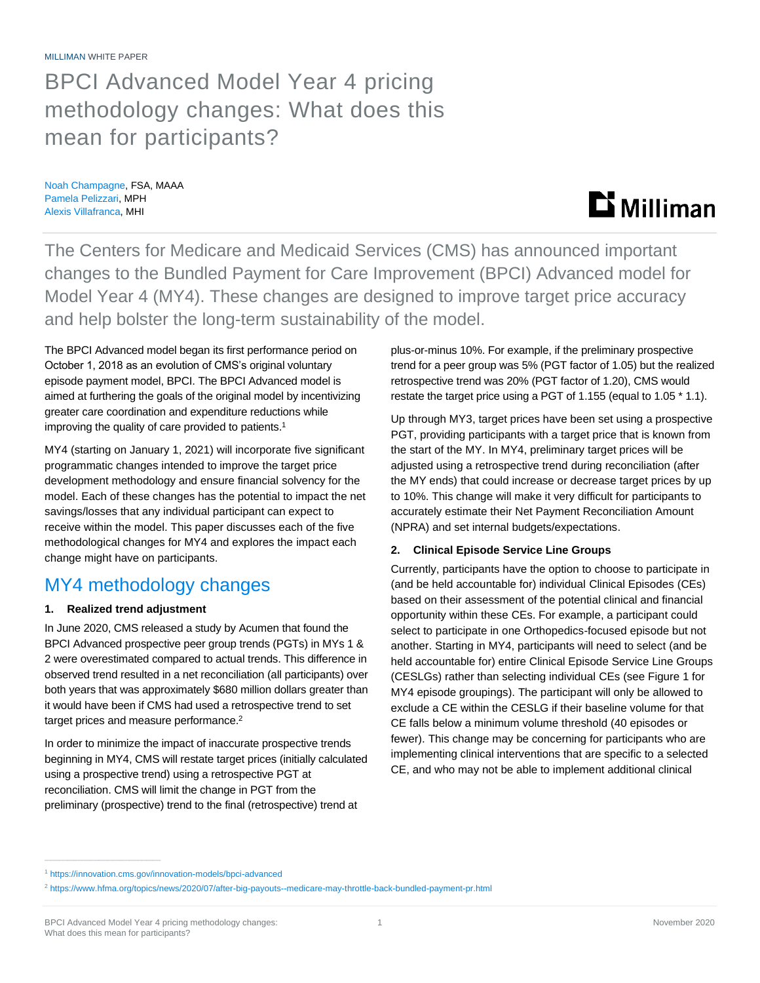MILLIMAN WHITE PAPER

# BPCI Advanced Model Year 4 pricing methodology changes: What does this mean for participants?

Noah Champagne, FSA, MAAA Pamela Pelizzari, MPH Alexis Villafranca, MHI

# $\mathbf{D}$  Milliman

The Centers for Medicare and Medicaid Services (CMS) has announced important changes to the Bundled Payment for Care Improvement (BPCI) Advanced model for Model Year 4 (MY4). These changes are designed to improve target price accuracy and help bolster the long-term sustainability of the model.

The BPCI Advanced model began its first performance period on October 1, 2018 as an evolution of CMS's original voluntary episode payment model, BPCI. The BPCI Advanced model is aimed at furthering the goals of the original model by incentivizing greater care coordination and expenditure reductions while improving the quality of care provided to patients. 1

MY4 (starting on January 1, 2021) will incorporate five significant programmatic changes intended to improve the target price development methodology and ensure financial solvency for the model. Each of these changes has the potential to impact the net savings/losses that any individual participant can expect to receive within the model. This paper discusses each of the five methodological changes for MY4 and explores the impact each change might have on participants.

# MY4 methodology changes

# **1. Realized trend adjustment**

In June 2020, CMS released a study by Acumen that found the BPCI Advanced prospective peer group trends (PGTs) in MYs 1 & 2 were overestimated compared to actual trends. This difference in observed trend resulted in a net reconciliation (all participants) over both years that was approximately \$680 million dollars greater than it would have been if CMS had used a retrospective trend to set target prices and measure performance.<sup>2</sup>

In order to minimize the impact of inaccurate prospective trends beginning in MY4, CMS will restate target prices (initially calculated using a prospective trend) using a retrospective PGT at reconciliation. CMS will limit the change in PGT from the preliminary (prospective) trend to the final (retrospective) trend at

plus-or-minus 10%. For example, if the preliminary prospective trend for a peer group was 5% (PGT factor of 1.05) but the realized retrospective trend was 20% (PGT factor of 1.20), CMS would restate the target price using a PGT of 1.155 (equal to 1.05 \* 1.1).

Up through MY3, target prices have been set using a prospective PGT, providing participants with a target price that is known from the start of the MY. In MY4, preliminary target prices will be adjusted using a retrospective trend during reconciliation (after the MY ends) that could increase or decrease target prices by up to 10%. This change will make it very difficult for participants to accurately estimate their Net Payment Reconciliation Amount (NPRA) and set internal budgets/expectations.

# **2. Clinical Episode Service Line Groups**

Currently, participants have the option to choose to participate in (and be held accountable for) individual Clinical Episodes (CEs) based on their assessment of the potential clinical and financial opportunity within these CEs. For example, a participant could select to participate in one Orthopedics-focused episode but not another. Starting in MY4, participants will need to select (and be held accountable for) entire Clinical Episode Service Line Groups (CESLGs) rather than selecting individual CEs (see Figure 1 for MY4 episode groupings). The participant will only be allowed to exclude a CE within the CESLG if their baseline volume for that CE falls below a minimum volume threshold (40 episodes or fewer). This change may be concerning for participants who are implementing clinical interventions that are specific to a selected CE, and who may not be able to implement additional clinical

<sup>1</sup> <https://innovation.cms.gov/innovation-models/bpci-advanced>

<sup>2</sup> <https://www.hfma.org/topics/news/2020/07/after-big-payouts--medicare-may-throttle-back-bundled-payment-pr.html>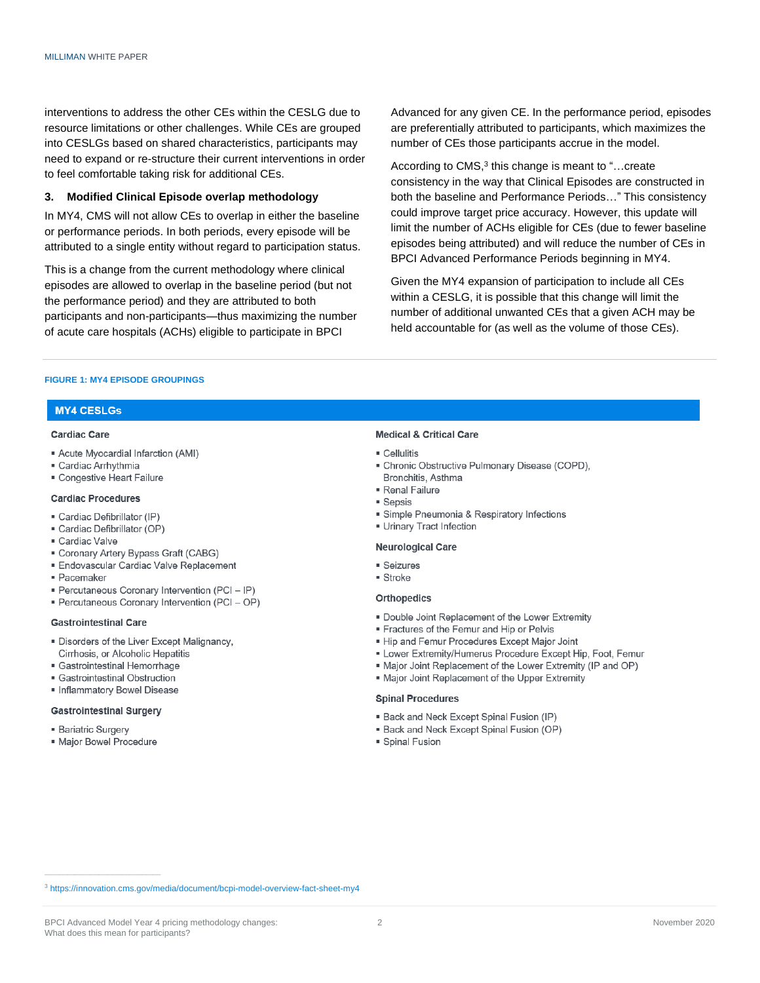interventions to address the other CEs within the CESLG due to resource limitations or other challenges. While CEs are grouped into CESLGs based on shared characteristics, participants may need to expand or re-structure their current interventions in order to feel comfortable taking risk for additional CEs.

#### Modified Clinical Episode overlap methodology  $3.$

In MY4, CMS will not allow CEs to overlap in either the baseline or performance periods. In both periods, every episode will be attributed to a single entity without regard to participation status.

This is a change from the current methodology where clinical episodes are allowed to overlap in the baseline period (but not the performance period) and they are attributed to both participants and non-participants—thus maximizing the number of acute care hospitals (ACHs) eligible to participate in BPCI

Advanced for any given CE. In the performance period, episodes are preferentially attributed to participants, which maximizes the number of CEs those participants accrue in the model.

According to CMS,<sup>3</sup> this change is meant to "...create consistency in the way that Clinical Episodes are constructed in both the baseline and Performance Periods..." This consistency could improve target price accuracy. However, this update will limit the number of ACHs eligible for CEs (due to fewer baseline episodes being attributed) and will reduce the number of CEs in BPCI Advanced Performance Periods beginning in MY4.

Given the MY4 expansion of participation to include all CEs within a CESLG, it is possible that this change will limit the number of additional unwanted CEs that a given ACH may be held accountable for (as well as the volume of those CEs).

#### FIGURE 1: MY4 FPISODE GROUPINGS

## **MY4 CESLGs**

#### Cardiac Care

- Acute Myocardial Infarction (AMI)
- · Cardiac Arrhythmia
- · Congestive Heart Failure

#### **Cardiac Procedures**

- · Cardiac Defibrillator (IP)
- · Cardiac Defibrillator (OP)
- · Cardiac Valve
- Coronary Artery Bypass Graft (CABG)
- Endovascular Cardiac Valve Replacement
- · Pacemaker
- Percutaneous Coronary Intervention (PCI IP)
- · Percutaneous Coronary Intervention (PCI OP)

#### **Gastrointestinal Care**

- Disorders of the Liver Except Malignancy, Cirrhosis, or Alcoholic Hepatitis
- · Gastrointestinal Hemorrhage
- · Gastrointestinal Obstruction
- · Inflammatory Bowel Disease

### **Gastrointestinal Surgery**

- **Bariatric Surgery**
- · Maior Bowel Procedure

### **Medical & Critical Care**

- $\blacksquare$  Cellulitis
- · Chronic Obstructive Pulmonary Disease (COPD), Bronchitis, Asthma
- · Renal Failure
- **Sepsis**
- · Simple Pneumonia & Respiratory Infections
- **Urinary Tract Infection**

#### **Neurological Care**

- $S$ eizures
- $\blacksquare$  Stroke

#### **Orthopedics**

- . Double Joint Replacement of the Lower Extremity
- Fractures of the Femur and Hip or Pelvis
- . Hip and Femur Procedures Except Major Joint
- . Lower Extremity/Humerus Procedure Except Hip, Foot, Femur
- . Major Joint Replacement of the Lower Extremity (IP and OP)
- . Major Joint Replacement of the Upper Extremity

### **Spinal Procedures**

- . Back and Neck Except Spinal Fusion (IP)
- · Back and Neck Except Spinal Fusion (OP)
- · Spinal Fusion

<sup>&</sup>lt;sup>3</sup> https://innovation.cms.gov/media/document/bcpi-model-overview-fact-sheet-my4